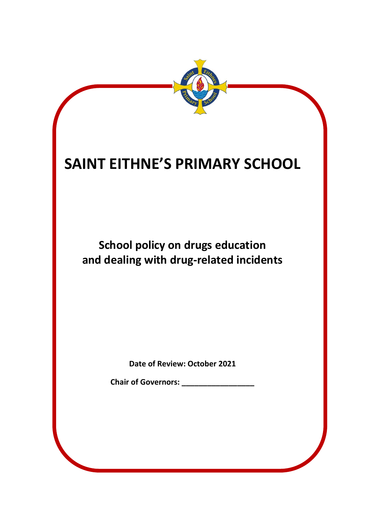

**School policy on drugs education and dealing with drug-related incidents**

**Date of Review: October 2021**

**Chair of Governors: \_\_\_\_\_\_\_\_\_\_\_\_\_\_\_\_\_**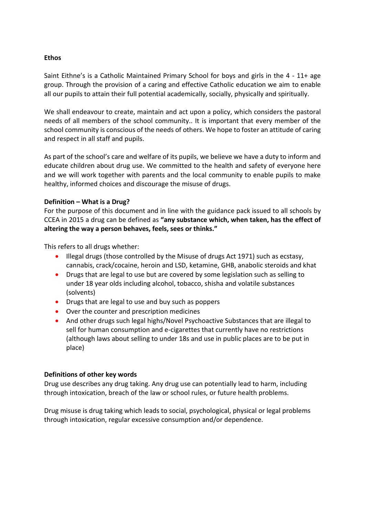#### **Ethos**

Saint Eithne's is a Catholic Maintained Primary School for boys and girls in the 4 - 11+ age group. Through the provision of a caring and effective Catholic education we aim to enable all our pupils to attain their full potential academically, socially, physically and spiritually.

We shall endeavour to create, maintain and act upon a policy, which considers the pastoral needs of all members of the school community.. It is important that every member of the school community is conscious of the needs of others. We hope to foster an attitude of caring and respect in all staff and pupils.

As part of the school's care and welfare of its pupils, we believe we have a duty to inform and educate children about drug use. We committed to the health and safety of everyone here and we will work together with parents and the local community to enable pupils to make healthy, informed choices and discourage the misuse of drugs.

#### **Definition – What is a Drug?**

For the purpose of this document and in line with the guidance pack issued to all schools by CCEA in 2015 a drug can be defined as **"any substance which, when taken, has the effect of altering the way a person behaves, feels, sees or thinks."**

This refers to all drugs whether:

- Illegal drugs (those controlled by the Misuse of drugs Act 1971) such as ecstasy, cannabis, crack/cocaine, heroin and LSD, ketamine, GHB, anabolic steroids and khat
- Drugs that are legal to use but are covered by some legislation such as selling to under 18 year olds including alcohol, tobacco, shisha and volatile substances (solvents)
- Drugs that are legal to use and buy such as poppers
- Over the counter and prescription medicines
- And other drugs such legal highs/Novel Psychoactive Substances that are illegal to sell for human consumption and e-cigarettes that currently have no restrictions (although laws about selling to under 18s and use in public places are to be put in place)

#### **Definitions of other key words**

Drug use describes any drug taking. Any drug use can potentially lead to harm, including through intoxication, breach of the law or school rules, or future health problems.

Drug misuse is drug taking which leads to social, psychological, physical or legal problems through intoxication, regular excessive consumption and/or dependence.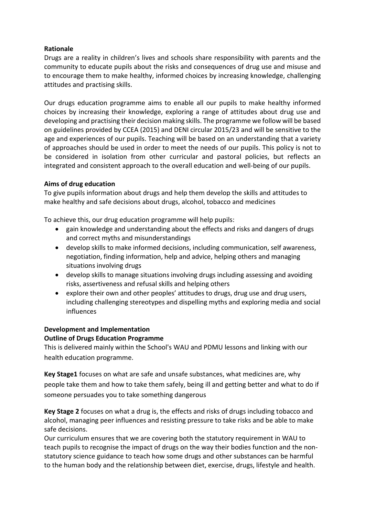### **Rationale**

Drugs are a reality in children's lives and schools share responsibility with parents and the community to educate pupils about the risks and consequences of drug use and misuse and to encourage them to make healthy, informed choices by increasing knowledge, challenging attitudes and practising skills.

Our drugs education programme aims to enable all our pupils to make healthy informed choices by increasing their knowledge, exploring a range of attitudes about drug use and developing and practising their decision making skills. The programme we follow will be based on guidelines provided by CCEA (2015) and DENI circular 2015/23 and will be sensitive to the age and experiences of our pupils. Teaching will be based on an understanding that a variety of approaches should be used in order to meet the needs of our pupils. This policy is not to be considered in isolation from other curricular and pastoral policies, but reflects an integrated and consistent approach to the overall education and well-being of our pupils.

#### **Aims of drug education**

To give pupils information about drugs and help them develop the skills and attitudes to make healthy and safe decisions about drugs, alcohol, tobacco and medicines

To achieve this, our drug education programme will help pupils:

- gain knowledge and understanding about the effects and risks and dangers of drugs and correct myths and misunderstandings
- develop skills to make informed decisions, including communication, self awareness, negotiation, finding information, help and advice, helping others and managing situations involving drugs
- develop skills to manage situations involving drugs including assessing and avoiding risks, assertiveness and refusal skills and helping others
- explore their own and other peoples' attitudes to drugs, drug use and drug users, including challenging stereotypes and dispelling myths and exploring media and social influences

### **Development and Implementation**

#### **Outline of Drugs Education Programme**

This is delivered mainly within the School's WAU and PDMU lessons and linking with our health education programme.

**Key Stage1** focuses on what are safe and unsafe substances, what medicines are, why people take them and how to take them safely, being ill and getting better and what to do if someone persuades you to take something dangerous

**Key Stage 2** focuses on what a drug is, the effects and risks of drugs including tobacco and alcohol, managing peer influences and resisting pressure to take risks and be able to make safe decisions.

Our curriculum ensures that we are covering both the statutory requirement in WAU to teach pupils to recognise the impact of drugs on the way their bodies function and the nonstatutory science guidance to teach how some drugs and other substances can be harmful to the human body and the relationship between diet, exercise, drugs, lifestyle and health.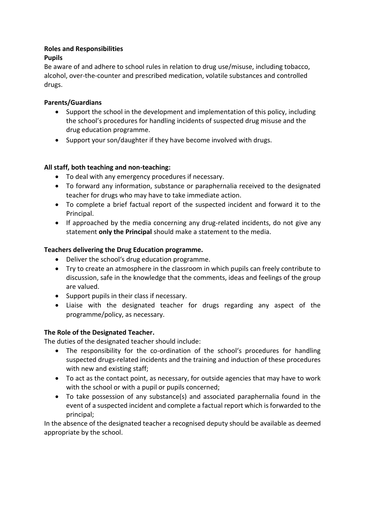## **Roles and Responsibilities**

# **Pupils**

Be aware of and adhere to school rules in relation to drug use/misuse, including tobacco, alcohol, over-the-counter and prescribed medication, volatile substances and controlled drugs.

# **Parents/Guardians**

- Support the school in the development and implementation of this policy, including the school's procedures for handling incidents of suspected drug misuse and the drug education programme.
- Support your son/daughter if they have become involved with drugs.

# **All staff, both teaching and non-teaching:**

- To deal with any emergency procedures if necessary.
- To forward any information, substance or paraphernalia received to the designated teacher for drugs who may have to take immediate action.
- To complete a brief factual report of the suspected incident and forward it to the Principal.
- If approached by the media concerning any drug-related incidents, do not give any statement **only the Principal** should make a statement to the media.

# **Teachers delivering the Drug Education programme.**

- Deliver the school's drug education programme.
- Try to create an atmosphere in the classroom in which pupils can freely contribute to discussion, safe in the knowledge that the comments, ideas and feelings of the group are valued.
- Support pupils in their class if necessary.
- Liaise with the designated teacher for drugs regarding any aspect of the programme/policy, as necessary.

### **The Role of the Designated Teacher.**

The duties of the designated teacher should include:

- The responsibility for the co-ordination of the school's procedures for handling suspected drugs-related incidents and the training and induction of these procedures with new and existing staff;
- To act as the contact point, as necessary, for outside agencies that may have to work with the school or with a pupil or pupils concerned;
- To take possession of any substance(s) and associated paraphernalia found in the event of a suspected incident and complete a factual report which is forwarded to the principal;

In the absence of the designated teacher a recognised deputy should be available as deemed appropriate by the school.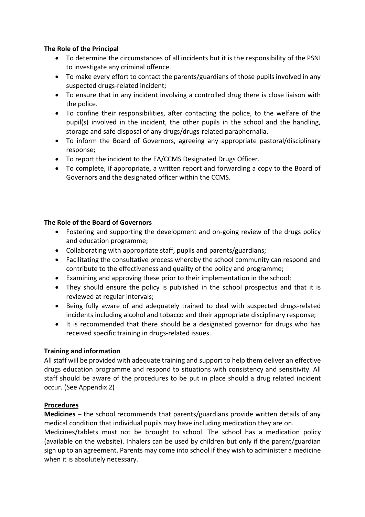### **The Role of the Principal**

- To determine the circumstances of all incidents but it is the responsibility of the PSNI to investigate any criminal offence.
- To make every effort to contact the parents/guardians of those pupils involved in any suspected drugs-related incident;
- To ensure that in any incident involving a controlled drug there is close liaison with the police.
- To confine their responsibilities, after contacting the police, to the welfare of the pupil(s) involved in the incident, the other pupils in the school and the handling, storage and safe disposal of any drugs/drugs-related paraphernalia.
- To inform the Board of Governors, agreeing any appropriate pastoral/disciplinary response;
- To report the incident to the EA/CCMS Designated Drugs Officer.
- To complete, if appropriate, a written report and forwarding a copy to the Board of Governors and the designated officer within the CCMS.

### **The Role of the Board of Governors**

- Fostering and supporting the development and on-going review of the drugs policy and education programme;
- Collaborating with appropriate staff, pupils and parents/guardians;
- Facilitating the consultative process whereby the school community can respond and contribute to the effectiveness and quality of the policy and programme;
- Examining and approving these prior to their implementation in the school;
- They should ensure the policy is published in the school prospectus and that it is reviewed at regular intervals;
- Being fully aware of and adequately trained to deal with suspected drugs-related incidents including alcohol and tobacco and their appropriate disciplinary response;
- It is recommended that there should be a designated governor for drugs who has received specific training in drugs-related issues.

### **Training and information**

All staff will be provided with adequate training and support to help them deliver an effective drugs education programme and respond to situations with consistency and sensitivity. All staff should be aware of the procedures to be put in place should a drug related incident occur. (See Appendix 2)

### **Procedures**

**Medicines** – the school recommends that parents/guardians provide written details of any medical condition that individual pupils may have including medication they are on.

Medicines/tablets must not be brought to school. The school has a medication policy (available on the website). Inhalers can be used by children but only if the parent/guardian sign up to an agreement. Parents may come into school if they wish to administer a medicine when it is absolutely necessary.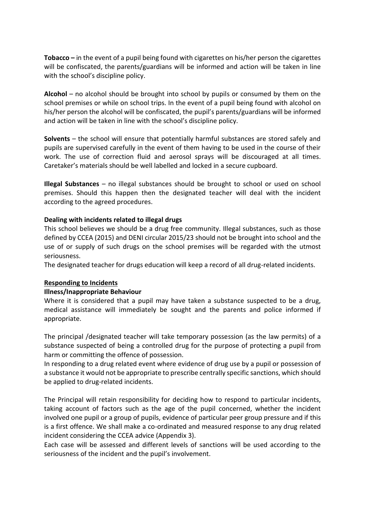**Tobacco –** in the event of a pupil being found with cigarettes on his/her person the cigarettes will be confiscated, the parents/guardians will be informed and action will be taken in line with the school's discipline policy.

**Alcohol** – no alcohol should be brought into school by pupils or consumed by them on the school premises or while on school trips. In the event of a pupil being found with alcohol on his/her person the alcohol will be confiscated, the pupil's parents/guardians will be informed and action will be taken in line with the school's discipline policy.

**Solvents** – the school will ensure that potentially harmful substances are stored safely and pupils are supervised carefully in the event of them having to be used in the course of their work. The use of correction fluid and aerosol sprays will be discouraged at all times. Caretaker's materials should be well labelled and locked in a secure cupboard.

**Illegal Substances** – no illegal substances should be brought to school or used on school premises. Should this happen then the designated teacher will deal with the incident according to the agreed procedures.

### **Dealing with incidents related to illegal drugs**

This school believes we should be a drug free community. Illegal substances, such as those defined by CCEA (2015) and DENI circular 2015/23 should not be brought into school and the use of or supply of such drugs on the school premises will be regarded with the utmost seriousness.

The designated teacher for drugs education will keep a record of all drug-related incidents.

#### **Responding to Incidents**

#### **Illness/Inappropriate Behaviour**

Where it is considered that a pupil may have taken a substance suspected to be a drug, medical assistance will immediately be sought and the parents and police informed if appropriate.

The principal /designated teacher will take temporary possession (as the law permits) of a substance suspected of being a controlled drug for the purpose of protecting a pupil from harm or committing the offence of possession.

In responding to a drug related event where evidence of drug use by a pupil or possession of a substance it would not be appropriate to prescribe centrally specific sanctions, which should be applied to drug-related incidents.

The Principal will retain responsibility for deciding how to respond to particular incidents, taking account of factors such as the age of the pupil concerned, whether the incident involved one pupil or a group of pupils, evidence of particular peer group pressure and if this is a first offence. We shall make a co-ordinated and measured response to any drug related incident considering the CCEA advice (Appendix 3).

Each case will be assessed and different levels of sanctions will be used according to the seriousness of the incident and the pupil's involvement.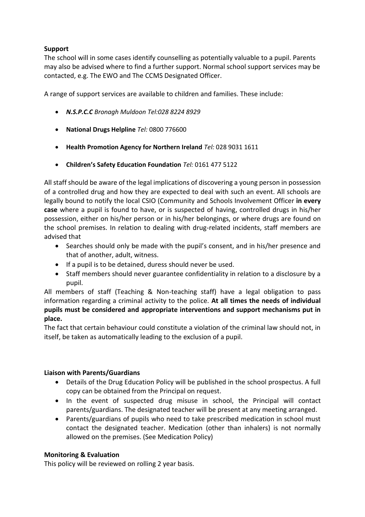# **Support**

The school will in some cases identify counselling as potentially valuable to a pupil. Parents may also be advised where to find a further support. Normal school support services may be contacted, e.g. The EWO and The CCMS Designated Officer.

A range of support services are available to children and families. These include:

- *N.S.P.C.C Bronagh Muldoon Tel:028 8224 8929*
- **National Drugs Helpline** *Tel:* 0800 776600
- **Health Promotion Agency for Northern Ireland** *Tel:* 028 9031 1611
- **Children's Safety Education Foundation** *Tel:* 0161 477 5122

All staff should be aware of the legal implications of discovering a young person in possession of a controlled drug and how they are expected to deal with such an event. All schools are legally bound to notify the local CSIO (Community and Schools Involvement Officer **in every case** where a pupil is found to have, or is suspected of having, controlled drugs in his/her possession, either on his/her person or in his/her belongings, or where drugs are found on the school premises. In relation to dealing with drug-related incidents, staff members are advised that

- Searches should only be made with the pupil's consent, and in his/her presence and that of another, adult, witness.
- If a pupil is to be detained, duress should never be used.
- Staff members should never guarantee confidentiality in relation to a disclosure by a pupil.

All members of staff (Teaching & Non-teaching staff) have a legal obligation to pass information regarding a criminal activity to the police. **At all times the needs of individual pupils must be considered and appropriate interventions and support mechanisms put in place.**

The fact that certain behaviour could constitute a violation of the criminal law should not, in itself, be taken as automatically leading to the exclusion of a pupil.

### **Liaison with Parents/Guardians**

- Details of the Drug Education Policy will be published in the school prospectus. A full copy can be obtained from the Principal on request.
- In the event of suspected drug misuse in school, the Principal will contact parents/guardians. The designated teacher will be present at any meeting arranged.
- Parents/guardians of pupils who need to take prescribed medication in school must contact the designated teacher. Medication (other than inhalers) is not normally allowed on the premises. (See Medication Policy)

### **Monitoring & Evaluation**

This policy will be reviewed on rolling 2 year basis.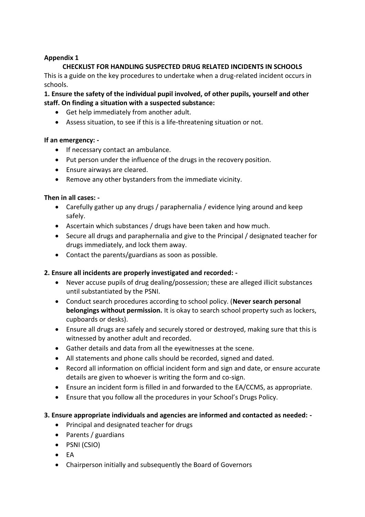## **Appendix 1**

# **CHECKLIST FOR HANDLING SUSPECTED DRUG RELATED INCIDENTS IN SCHOOLS**

This is a guide on the key procedures to undertake when a drug-related incident occurs in schools.

**1. Ensure the safety of the individual pupil involved, of other pupils, yourself and other staff. On finding a situation with a suspected substance:** 

- Get help immediately from another adult.
- Assess situation, to see if this is a life-threatening situation or not.

### **If an emergency: -**

- If necessary contact an ambulance.
- Put person under the influence of the drugs in the recovery position.
- Ensure airways are cleared.
- Remove any other bystanders from the immediate vicinity.

#### **Then in all cases: -**

- Carefully gather up any drugs / paraphernalia / evidence lying around and keep safely.
- Ascertain which substances / drugs have been taken and how much.
- Secure all drugs and paraphernalia and give to the Principal / designated teacher for drugs immediately, and lock them away.
- Contact the parents/guardians as soon as possible.

### **2. Ensure all incidents are properly investigated and recorded: -**

- Never accuse pupils of drug dealing/possession; these are alleged illicit substances until substantiated by the PSNI.
- Conduct search procedures according to school policy. (**Never search personal belongings without permission.** It is okay to search school property such as lockers, cupboards or desks).
- Ensure all drugs are safely and securely stored or destroyed, making sure that this is witnessed by another adult and recorded.
- Gather details and data from all the eyewitnesses at the scene.
- All statements and phone calls should be recorded, signed and dated.
- Record all information on official incident form and sign and date, or ensure accurate details are given to whoever is writing the form and co-sign.
- Ensure an incident form is filled in and forwarded to the EA/CCMS, as appropriate.
- Ensure that you follow all the procedures in your School's Drugs Policy.

### **3. Ensure appropriate individuals and agencies are informed and contacted as needed: -**

- Principal and designated teacher for drugs
- Parents / guardians
- PSNI (CSIO)
- $\bullet$  FA
- Chairperson initially and subsequently the Board of Governors